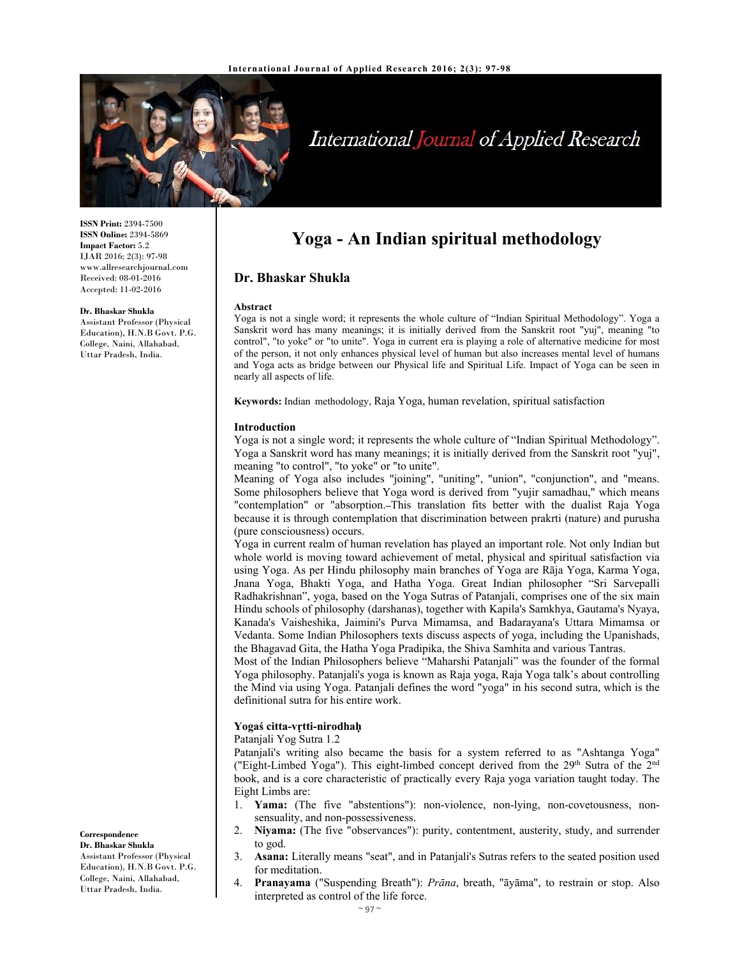

# International Journal of Applied Research

**ISSN Print:** 2394-7500 **ISSN Online:** 2394-5869 **Impact Factor:** 5.2 IJAR 2016; 2(3): 97-98 www.allresearchjournal.com Received: 08-01-2016 Accepted: 11-02-2016

#### **Dr. Bhaskar Shukla**

Assistant Professor (Physical Education), H.N.B Govt. P.G. College, Naini, Allahabad, Uttar Pradesh, India.

# **Yoga - An Indian spiritual methodology**

# **Dr. Bhaskar Shukla**

#### **Abstract**

Yoga is not a single word; it represents the whole culture of "Indian Spiritual Methodology". Yoga a Sanskrit word has many meanings; it is initially derived from the Sanskrit root "yuj", meaning "to control", "to yoke" or "to unite". Yoga in current era is playing a role of alternative medicine for most of the person, it not only enhances physical level of human but also increases mental level of humans and Yoga acts as bridge between our Physical life and Spiritual Life. Impact of Yoga can be seen in nearly all aspects of life.

**Keywords:** Indian methodology, Raja Yoga, human revelation, spiritual satisfaction

#### **Introduction**

Yoga is not a single word; it represents the whole culture of "Indian Spiritual Methodology". Yoga a Sanskrit word has many meanings; it is initially derived from the Sanskrit root "yuj", meaning "to control", "to yoke" or "to unite".

Meaning of Yoga also includes "joining", "uniting", "union", "conjunction", and "means. Some philosophers believe that Yoga word is derived from "yujir samadhau," which means "contemplation" or "absorption. This translation fits better with the dualist Raja Yoga because it is through contemplation that discrimination between prakrti (nature) and purusha (pure consciousness) occurs.

Yoga in current realm of human revelation has played an important role. Not only Indian but whole world is moving toward achievement of metal, physical and spiritual satisfaction via using Yoga. As per Hindu philosophy main branches of Yoga are Rāja Yoga, Karma Yoga, Jnana Yoga, Bhakti Yoga, and Hatha Yoga. Great Indian philosopher "Sri Sarvepalli Radhakrishnan", yoga, based on the Yoga Sutras of Patanjali, comprises one of the six main Hindu schools of philosophy (darshanas), together with Kapila's Samkhya, Gautama's Nyaya, Kanada's Vaisheshika, Jaimini's Purva Mimamsa, and Badarayana's Uttara Mimamsa or Vedanta. Some Indian Philosophers texts discuss aspects of yoga, including the Upanishads, the Bhagavad Gita, the Hatha Yoga Pradipika, the Shiva Samhita and various Tantras.

Most of the Indian Philosophers believe "Maharshi Patanjali" was the founder of the formal Yoga philosophy. Patanjali's yoga is known as Raja yoga, Raja Yoga talk's about controlling the Mind via using Yoga. Patanjali defines the word "yoga" in his second sutra, which is the definitional sutra for his entire work.

#### **Yogaś citta-vṛtti-nirodhaḥ**

#### Patanjali Yog Sutra 1.2

Patanjali's writing also became the basis for a system referred to as "Ashtanga Yoga" ("Eight-Limbed Yoga"). This eight-limbed concept derived from the  $29<sup>th</sup>$  Sutra of the  $2<sup>nd</sup>$ book, and is a core characteristic of practically every Raja yoga variation taught today. The Eight Limbs are:

- 1. **Yama:** (The five "abstentions"): non-violence, non-lying, non-covetousness, nonsensuality, and non-possessiveness.
- 2. **Niyama:** (The five "observances"): purity, contentment, austerity, study, and surrender to god.
- 3. **Asana:** Literally means "seat", and in Patanjali's Sutras refers to the seated position used for meditation.
- 4. **Pranayama** ("Suspending Breath"): *Prāna*, breath, "āyāma", to restrain or stop. Also interpreted as control of the life force.

## **Correspondence**

**Dr. Bhaskar Shukla**  Assistant Professor (Physical Education), H.N.B Govt. P.G. College, Naini, Allahabad, Uttar Pradesh, India.